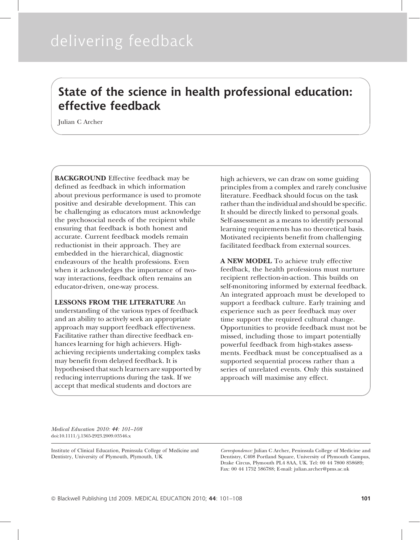# State of the science in health professional education: effective feedback

Julian C Archer

BACKGROUND Effective feedback may be defined as feedback in which information about previous performance is used to promote positive and desirable development. This can be challenging as educators must acknowledge the psychosocial needs of the recipient while ensuring that feedback is both honest and accurate. Current feedback models remain reductionist in their approach. They are embedded in the hierarchical, diagnostic endeavours of the health professions. Even when it acknowledges the importance of twoway interactions, feedback often remains an educator-driven, one-way process.

LESSONS FROM THE LITERATURE An understanding of the various types of feedback and an ability to actively seek an appropriate approach may support feedback effectiveness. Facilitative rather than directive feedback enhances learning for high achievers. Highachieving recipients undertaking complex tasks may benefit from delayed feedback. It is hypothesised that such learners are supported by reducing interruptions during the task. If we accept that medical students and doctors are

high achievers, we can draw on some guiding principles from a complex and rarely conclusive literature. Feedback should focus on the task rather than the individual and should be specific. It should be directly linked to personal goals. Self-assessment as a means to identify personal learning requirements has no theoretical basis. Motivated recipients benefit from challenging facilitated feedback from external sources.

A NEW MODEL To achieve truly effective feedback, the health professions must nurture recipient reflection-in-action. This builds on self-monitoring informed by external feedback. An integrated approach must be developed to support a feedback culture. Early training and experience such as peer feedback may over time support the required cultural change. Opportunities to provide feedback must not be missed, including those to impart potentially powerful feedback from high-stakes assessments. Feedback must be conceptualised as a supported sequential process rather than a series of unrelated events. Only this sustained approach will maximise any effect.

Medical Education 2010: 44: 101–108 doi:10.1111/j.1365-2923.2009.03546.x

Institute of Clinical Education, Peninsula College of Medicine and Dentistry, University of Plymouth, Plymouth, UK

Correspondence: Julian C Archer, Peninsula College of Medicine and Dentistry, C408 Portland Square, University of Plymouth Campus, Drake Circus, Plymouth PL4 8AA, UK. Tel: 00 44 7800 858689; Fax: 00 44 1752 586788; E-mail: julian.archer@pms.ac.uk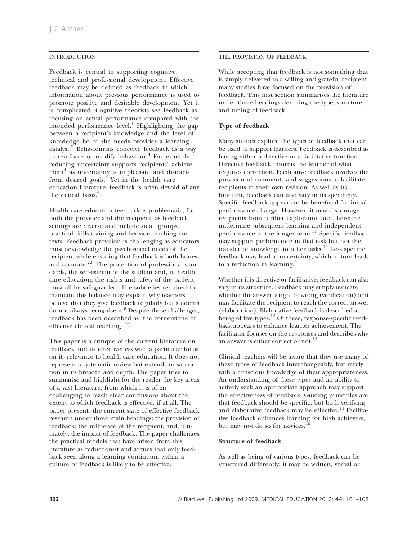# INTRODUCTION

Feedback is central to supporting cognitive, technical and professional development. Effective feedback may be defined as feedback in which information about previous performance is used to promote positive and desirable development. Yet it is complicated. Cognitive theorists see feedback as focusing on actual performance compared with the intended performance level.<sup>1</sup> Highlighting the gap between a recipient's knowledge and the level of knowledge he or she needs provides a learning catalyst.<sup>2</sup> Behaviourists conceive feedback as a way to reinforce or modify behaviour.<sup>3</sup> For example, reducing uncertainty supports recipients' achievement $<sup>4</sup>$  as uncertainty is unpleasant and distracts</sup> from desired goals. $5$  Yet in the health care education literature, feedback is often devoid of any theoretical basis.<sup>6</sup>

Health care education feedback is problematic, for both the provider and the recipient, as feedback settings are diverse and include small groups, practical skills training and bedside teaching contexts. Feedback provision is challenging as educators must acknowledge the psychosocial needs of the recipient while ensuring that feedback is both honest and accurate.7,8 The protection of professional standards, the self-esteem of the student and, in health care education, the rights and safety of the patient, must all be safeguarded. The subtleties required to maintain this balance may explain why teachers believe that they give feedback regularly but students do not always recognise it. $9$  Despite these challenges, feedback has been described as 'the cornerstone of effective clinical teaching'.<sup>10</sup>

This paper is a critique of the current literature on feedback and its effectiveness with a particular focus on its relevance to health care education. It does not represent a systematic review but extends to saturation in its breadth and depth. The paper tries to summarise and highlight for the reader the key areas of a vast literature, from which it is often challenging to reach clear conclusions about the extent to which feedback is effective, if at all. The paper presents the current state of effective feedback research under three main headings: the provision of feedback; the influence of the recipient, and, ultimately, the impact of feedback. The paper challenges the practical models that have arisen from this literature as reductionist and argues that only feedback seen along a learning continuum within a culture of feedback is likely to be effective.

# THE PROVISION OF FEEDBACK

While accepting that feedback is not something that is simply delivered to a willing and grateful recipient, many studies have focused on the provision of feedback. This first section summarises the literature under three headings denoting the type, structure and timing of feedback.

# Type of feedback

Many studies explore the types of feedback that can be used to support learners. Feedback is described as having either a directive or a facilitative function. Directive feedback informs the learner of what requires correction. Facilitative feedback involves the provision of comments and suggestions to facilitate recipients in their own revision. As well as its function, feedback can also vary in its specificity. Specific feedback appears to be beneficial for initial performance change. However, it may discourage recipients from further exploration and therefore undermine subsequent learning and independent performance in the longer term. $^{11}$  Specific feedback may support performance in that task but not the transfer of knowledge to other tasks.<sup>12</sup> Less specific feedback may lead to uncertainty, which in turn leads to a reduction in learning. $^{2}$ 

Whether it is directive or facilitative, feedback can also vary in its structure. Feedback may simply indicate whether the answer is right or wrong (verification) or it may facilitate the recipient to reach the correct answer (elaboration). Elaborative feedback is described as being of five types.<sup>13</sup> Of these, response-specific feedback appears to enhance learner achievement. The facilitator focuses on the responses and describes why an answer is either correct or not.<sup>13</sup>

Clinical teachers will be aware that they use many of these types of feedback interchangeably, but rarely with a conscious knowledge of their appropriateness. An understanding of these types and an ability to actively seek an appropriate approach may support the effectiveness of feedback. Guiding principles are that feedback should be specific, but both verifying and elaborative feedback may be effective.<sup>14</sup> Facilitative feedback enhances learning for high achievers, but may not do so for novices.<sup>15</sup>

# Structure of feedback

As well as being of various types, feedback can be structured differently; it may be written, verbal or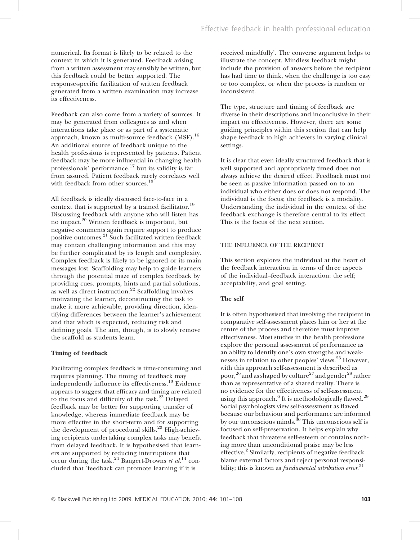numerical. Its format is likely to be related to the context in which it is generated. Feedback arising from a written assessment may sensibly be written, but this feedback could be better supported. The response-specific facilitation of written feedback generated from a written examination may increase its effectiveness.

Feedback can also come from a variety of sources. It may be generated from colleagues as and when interactions take place or as part of a systematic approach, known as multi-source feedback  $(\mathrm{MSF})^{.16}$ An additional source of feedback unique to the health professions is represented by patients. Patient feedback may be more influential in changing health professionals' performance,<sup>17</sup> but its validity is far from assured. Patient feedback rarely correlates well with feedback from other sources.<sup>18</sup>

All feedback is ideally discussed face-to-face in a context that is supported by a trained facilitator.<sup>19</sup> Discussing feedback with anyone who will listen has no impact.20 Written feedback is important, but negative comments again require support to produce positive outcomes.<sup>21</sup> Such facilitated written feedback may contain challenging information and this may be further complicated by its length and complexity. Complex feedback is likely to be ignored or its main messages lost. Scaffolding may help to guide learners through the potential maze of complex feedback by providing cues, prompts, hints and partial solutions, as well as direct instruction.<sup>22</sup> Scaffolding involves motivating the learner, deconstructing the task to make it more achievable, providing direction, identifying differences between the learner's achievement and that which is expected, reducing risk and defining goals. The aim, though, is to slowly remove the scaffold as students learn.

#### Timing of feedback

Facilitating complex feedback is time-consuming and requires planning. The timing of feedback may independently influence its effectiveness.<sup>13</sup> Evidence appears to suggest that efficacy and timing are related to the focus and difficulty of the task.<sup>23</sup> Delayed feedback may be better for supporting transfer of knowledge, whereas immediate feedback may be more effective in the short-term and for supporting the development of procedural skills. $^{23}$  High-achieving recipients undertaking complex tasks may benefit from delayed feedback. It is hypothesised that learners are supported by reducing interruptions that occur during the task.<sup>24</sup> Bangert-Drowns et  $al.^{14}$  concluded that 'feedback can promote learning if it is

received mindfully'. The converse argument helps to illustrate the concept. Mindless feedback might include the provision of answers before the recipient has had time to think, when the challenge is too easy or too complex, or when the process is random or inconsistent.

The type, structure and timing of feedback are diverse in their descriptions and inconclusive in their impact on effectiveness. However, there are some guiding principles within this section that can help shape feedback to high achievers in varying clinical settings.

It is clear that even ideally structured feedback that is well supported and appropriately timed does not always achieve the desired effect. Feedback must not be seen as passive information passed on to an individual who either does or does not respond. The individual is the focus; the feedback is a modality. Understanding the individual in the context of the feedback exchange is therefore central to its effect. This is the focus of the next section.

#### THE INFLUENCE OF THE RECIPIENT

This section explores the individual at the heart of the feedback interaction in terms of three aspects of the individual–feedback interaction: the self; acceptability, and goal setting.

#### The self

It is often hypothesised that involving the recipient in comparative self-assessment places him or her at the centre of the process and therefore must improve effectiveness. Most studies in the health professions explore the personal assessment of performance as an ability to identify one's own strengths and weaknesses in relation to other peoples' views.<sup>25</sup> However, with this approach self-assessment is described as poor,<sup>26</sup> and as shaped by culture<sup>27</sup> and gender<sup>28</sup> rather than as representative of a shared reality. There is no evidence for the effectiveness of self-assessment using this approach.<sup>6</sup> It is methodologically flawed.<sup>29</sup> Social psychologists view self-assessment as flawed because our behaviour and performance are informed by our unconscious minds. $30$  This unconscious self is focused on self-preservation. It helps explain why feedback that threatens self-esteem or contains nothing more than unconditional praise may be less effective.<sup>2</sup> Similarly, recipients of negative feedback blame external factors and reject personal responsibility; this is known as *fundamental attribution error.*<sup>31</sup>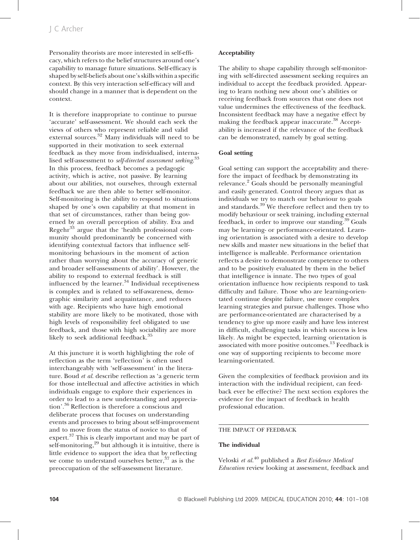Personality theorists are more interested in self-efficacy, which refers to the belief structures around one's capability to manage future situations. Self-efficacy is shaped by self-beliefs about one's skills within a specific context. By this very interaction self-efficacy will and should change in a manner that is dependent on the context.

It is therefore inappropriate to continue to pursue 'accurate' self-assessment. We should each seek the views of others who represent reliable and valid external sources.<sup>32</sup> Many individuals will need to be supported in their motivation to seek external feedback as they move from individualised, internalised self-assessment to *self-directed assessment seeking.*<sup>33</sup> In this process, feedback becomes a pedagogic activity, which is active, not passive. By learning about our abilities, not ourselves, through external feedback we are then able to better self-monitor. Self-monitoring is the ability to respond to situations shaped by one's own capability at that moment in that set of circumstances, rather than being governed by an overall perception of ability. Eva and Regehr<sup>33</sup> argue that the 'health professional community should predominantly be concerned with identifying contextual factors that influence selfmonitoring behaviours in the moment of action rather than worrying about the accuracy of generic and broader self-assessments of ability'. However, the ability to respond to external feedback is still influenced by the learner. $34$  Individual receptiveness is complex and is related to self-awareness, demographic similarity and acquaintance, and reduces with age. Recipients who have high emotional stability are more likely to be motivated, those with high levels of responsibility feel obligated to use feedback, and those with high sociability are more likely to seek additional feedback.<sup>35</sup>

At this juncture it is worth highlighting the role of reflection as the term 'reflection' is often used interchangeably with 'self-assessment' in the literature. Boud et al. describe reflection as 'a generic term for those intellectual and affective activities in which individuals engage to explore their experiences in order to lead to a new understanding and appreciation'.<sup>36</sup> Reflection is therefore a conscious and deliberate process that focuses on understanding events and processes to bring about self-improvement and to move from the status of novice to that of expert.<sup>37</sup> This is clearly important and may be part of self-monitoring, $29$  but although it is intuitive, there is little evidence to support the idea that by reflecting we come to understand ourselves better,  $37$  as is the preoccupation of the self-assessment literature.

## Acceptability

The ability to shape capability through self-monitoring with self-directed assessment seeking requires an individual to accept the feedback provided. Appearing to learn nothing new about one's abilities or receiving feedback from sources that one does not value undermines the effectiveness of the feedback. Inconsistent feedback may have a negative effect by making the feedback appear inaccurate.<sup>38</sup> Acceptability is increased if the relevance of the feedback can be demonstrated, namely by goal setting.

# Goal setting

Goal setting can support the acceptability and therefore the impact of feedback by demonstrating its relevance.<sup>2</sup> Goals should be personally meaningful and easily generated. Control theory argues that as individuals we try to match our behaviour to goals and standards.<sup>39</sup> We therefore reflect and then try to modify behaviour or seek training, including external feedback, in order to improve our standing.<sup>39</sup> Goals may be learning- or performance-orientated. Learning orientation is associated with a desire to develop new skills and master new situations in the belief that intelligence is malleable. Performance orientation reflects a desire to demonstrate competence to others and to be positively evaluated by them in the belief that intelligence is innate. The two types of goal orientation influence how recipients respond to task difficulty and failure. Those who are learning-orientated continue despite failure, use more complex learning strategies and pursue challenges. Those who are performance-orientated are characterised by a tendency to give up more easily and have less interest in difficult, challenging tasks in which success is less likely. As might be expected, learning orientation is associated with more positive outcomes.<sup>13</sup> Feedback is one way of supporting recipients to become more learning-orientated.

Given the complexities of feedback provision and its interaction with the individual recipient, can feedback ever be effective? The next section explores the evidence for the impact of feedback in health professional education.

#### THE IMPACT OF FEEDBACK

# The individual

Veloski et al.<sup>40</sup> published a Best Evidence Medical Education review looking at assessment, feedback and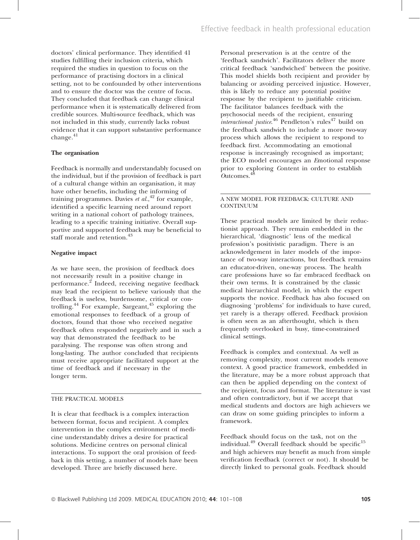doctors' clinical performance. They identified 41 studies fulfilling their inclusion criteria, which required the studies in question to focus on the performance of practising doctors in a clinical setting, not to be confounded by other interventions and to ensure the doctor was the centre of focus. They concluded that feedback can change clinical performance when it is systematically delivered from credible sources. Multi-source feedback, which was not included in this study, currently lacks robust evidence that it can support substantive performance change. $41$ 

#### The organisation

Feedback is normally and understandably focused on the individual, but if the provision of feedback is part of a cultural change within an organisation, it may have other benefits, including the informing of training programmes. Davies et al.,<sup>42</sup> for example, identified a specific learning need around report writing in a national cohort of pathology trainees, leading to a specific training initiative. Overall supportive and supported feedback may be beneficial to staff morale and retention.<sup>43</sup>

#### Negative impact

As we have seen, the provision of feedback does not necessarily result in a positive change in performance.<sup>2</sup> Indeed, receiving negative feedback may lead the recipient to believe variously that the feedback is useless, burdensome, critical or controlling.<sup>44</sup> For example, Sargeant, $45$  exploring the emotional responses to feedback of a group of doctors, found that those who received negative feedback often responded negatively and in such a way that demonstrated the feedback to be paralysing. The response was often strong and long-lasting. The author concluded that recipients must receive appropriate facilitated support at the time of feedback and if necessary in the longer term.

#### THE PRACTICAL MODELS

It is clear that feedback is a complex interaction between format, focus and recipient. A complex intervention in the complex environment of medicine understandably drives a desire for practical solutions. Medicine centres on personal clinical interactions. To support the oral provision of feedback in this setting, a number of models have been developed. Three are briefly discussed here.

Personal preservation is at the centre of the 'feedback sandwich'. Facilitators deliver the more critical feedback 'sandwiched' between the positive. This model shields both recipient and provider by balancing or avoiding perceived injustice. However, this is likely to reduce any potential positive response by the recipient to justifiable criticism. The facilitator balances feedback with the psychosocial needs of the recipient, ensuring interactional justice.<sup>46</sup> Pendleton's rules<sup>47</sup> build on the feedback sandwich to include a more two-way process which allows the recipient to respond to feedback first. Accommodating an emotional response is increasingly recognised as important; the ECO model encourages an Emotional response prior to exploring Content in order to establish Outcomes. $4$ 

#### A NEW MODEL FOR FEEDBACK: CULTURE AND CONTINUUM

These practical models are limited by their reductionist approach. They remain embedded in the hierarchical, 'diagnostic' lens of the medical profession's positivistic paradigm. There is an acknowledgement in later models of the importance of two-way interactions, but feedback remains an educator-driven, one-way process. The health care professions have so far embraced feedback on their own terms. It is constrained by the classic medical hierarchical model, in which the expert supports the novice. Feedback has also focused on diagnosing 'problems' for individuals to have cured, yet rarely is a therapy offered. Feedback provision is often seen as an afterthought, which is then frequently overlooked in busy, time-constrained clinical settings.

Feedback is complex and contextual. As well as removing complexity, most current models remove context. A good practice framework, embedded in the literature, may be a more robust approach that can then be applied depending on the context of the recipient, focus and format. The literature is vast and often contradictory, but if we accept that medical students and doctors are high achievers we can draw on some guiding principles to inform a framework.

Feedback should focus on the task, not on the individual.<sup>49</sup> Overall feedback should be specific<sup>15</sup> and high achievers may benefit as much from simple verification feedback (correct or not). It should be directly linked to personal goals. Feedback should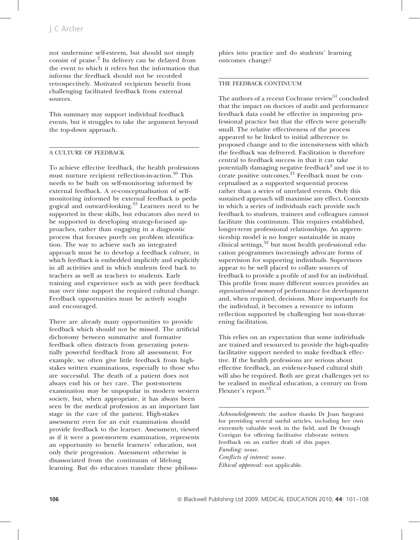not undermine self-esteem, but should not simply consist of praise.2 Its delivery can be delayed from the event to which it refers but the information that informs the feedback should not be recorded retrospectively. Motivated recipients benefit from challenging facilitated feedback from external sources.

This summary may support individual feedback events, but it struggles to take the argument beyond the top-down approach.

# A CULTURE OF FEEDBACK

To achieve effective feedback, the health professions must nurture recipient reflection-in-action.<sup>50</sup> This needs to be built on self-monitoring informed by external feedback. A re-conceptualisation of selfmonitoring informed by external feedback is pedagogical and outward-looking.<sup>33</sup> Learners need to be supported in these skills, but educators also need to be supported in developing strategy-focused approaches, rather than engaging in a diagnostic process that focuses purely on problem identification. The way to achieve such an integrated approach must be to develop a feedback culture, in which feedback is embedded implicitly and explicitly in all activities and in which students feed back to teachers as well as teachers to students. Early training and experience such as with peer feedback may over time support the required cultural change. Feedback opportunities must be actively sought and encouraged.

There are already many opportunities to provide feedback which should not be missed. The artificial dichotomy between summative and formative feedback often distracts from generating potentially powerful feedback from all assessment. For example, we often give little feedback from highstakes written examinations, especially to those who are successful. The death of a patient does not always end his or her care. The post-mortem examination may be unpopular in modern western society, but, when appropriate, it has always been seen by the medical profession as an important last stage in the care of the patient. High-stakes assessment even for an exit examination should provide feedback to the learner. Assessment, viewed as if it were a post-mortem examination, represents an opportunity to benefit learners' education, not only their progression. Assessment otherwise is disassociated from the continuum of lifelong learning. But do educators translate these philosophies into practice and do students' learning outcomes change?

# THE FEEDBACK CONTINUUM

The authors of a recent Cochrane review<sup>51</sup> concluded that the impact on doctors of audit and performance feedback data could be effective in improving professional practice but that the effects were generally small. The relative effectiveness of the process appeared to be linked to initial adherence to proposed change and to the intensiveness with which the feedback was delivered. Facilitation is therefore central to feedback success in that it can take potentially damaging negative feedback<sup>2</sup> and use it to create positive outcomes.<sup>21</sup> Feedback must be conceptualised as a supported sequential process rather than a series of unrelated events. Only this sustained approach will maximise any effect. Contexts in which a series of individuals each provide such feedback to students, trainees and colleagues cannot facilitate this continuum. This requires established, longer-term professional relationships. An apprenticeship model is no longer sustainable in many clinical settings, $52$  but most health professional education programmes increasingly advocate forms of supervision for supporting individuals. Supervisors appear to be well placed to collate sources of feedback to provide a profile of and for an individual. This profile from many different sources provides an organisational memory of performance for development and, when required, decisions. More importantly for the individual, it becomes a resource to inform reflection supported by challenging but non-threatening facilitation.

This relies on an expectation that some individuals are trained and resourced to provide the high-quality facilitative support needed to make feedback effective. If the health professions are serious about effective feedback, an evidence-based cultural shift will also be required. Both are great challenges yet to be realised in medical education, a century on from Flexner's report.<sup>53</sup>

Acknowledgements: the author thanks Dr Joan Sargeant for providing several useful articles, including her own extremely valuable work in the field, and Dr Oonagh Corrigan for offering facilitative elaborate written feedback on an earlier draft of this paper. Funding: none. Conflicts of interest: none.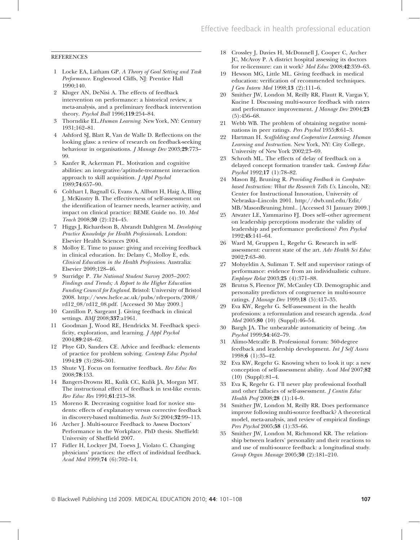#### **REFERENCES**

- 1 Locke EA, Latham GP. A Theory of Goal Setting and Task Performance. Englewood Cliffs, NJ: Prentice Hall 1990;140.
- 2 Kluger AN, DeNisi A. The effects of feedback intervention on performance: a historical review, a meta-analysis, and a preliminary feedback intervention theory. Psychol Bull 1996;119:254–84.
- Thorndike EL.Human Learning. New York, NY: Century 1931;162–81.
- 4 Ashford SJ, Blatt R, Van de Walle D. Reflections on the looking glass: a review of research on feedback-seeking behaviour in organisations. J Manage Dev 2003;29:773– 99.
- 5 Kanfer R, Ackerman PL. Motivation and cognitive abilities: an integrative ⁄ aptitude-treatment interaction approach to skill acquisition. J Appl Psychol 1989;74:657–90.
- 6 Colthart I, Bagnall G, Evans A, Allbutt H, Haig A, Illing J, McKinstry B. The effectiveness of self-assessment on the identification of learner needs, learner activity, and impact on clinical practice: BEME Guide no. 10. Med Teach 2008;30 (2):124–45.
- 7 Higgs J, Richardson B, Abrandt Dahlgren M. Developing Practice Knowledge for Health Professionals. London: Elsevier Health Sciences 2004.
- 8 Molloy E. Time to pause: giving and receiving feedback in clinical education. In: Delany C, Molloy E, eds. Clinical Education in the Health Professions. Australia: Elsevier 2009;128–46.
- 9 Surridge P. The National Student Survey 2005–2007: Findings and Trends; A Report to the Higher Education Funding Council for England. Bristol: University of Bristol 2008. http://www.hefce.ac.uk/pubs/rdreports/2008/ rd12\_08/rd12\_08.pdf. [Accessed 30 May 2009.]
- 10 Cantillon P, Sargeant J. Giving feedback in clinical settings. BMJ 2008;337:a1961.
- 11 Goodman J, Wood RE, Hendrickx M. Feedback specificity, exploration, and learning. J Appl Psychol 2004;89:248–62.
- 12 Phye GD, Sanders CE. Advice and feedback: elements of practice for problem solving. Contemp Educ Psychol 1994;19 (3):286–301.
- 13 Shute VJ. Focus on formative feedback. Rev Educ Res 2008;78:153.
- 14 Bangert-Drowns RL, Kulik CC, Kulik JA, Morgan MT. The instructional effect of feedback in test-like events. Rev Educ Res 1991;61:213–38.
- 15 Moreno R. Decreasing cognitive load for novice students: effects of explanatory versus corrective feedback in discovery-based multimedia. Instr Sci 2004;32:99–113.
- 16 Archer J. Multi-source Feedback to Assess Doctors' Performance in the Workplace. PhD thesis. Sheffield: University of Sheffield 2007.
- 17 Fidler H, Lockyer JM, Toews J, Violato C. Changing physicians' practices: the effect of individual feedback. Acad Med 1999;74 (6):702–14.
- 18 Crossley J, Davies H, McDonnell J, Cooper C, Archer JC, McAvoy P. A district hospital assessing its doctors for re-licensure: can it work? Med Educ 2008;42:359–63.
- 19 Hewson MG, Little ML. Giving feedback in medical education: verification of recommended techniques. J Gen Intern Med 1998;13 (2):111–6.
- 20 Smither JW, London M, Reilly RR, Flautt R, Vargas Y, Kucine I. Discussing multi-source feedback with raters and performance improvement. *J Manage Dev* 2004;23  $(5):456-68.$
- 21 Webb WB. The problem of obtaining negative nominations in peer ratings. Pers Psychol 1955;8:61–3.
- 22 Hartman H. Scaffolding and Cooperative Learning. Human Learning and Instruction. New York, NY: City College, University of New York 2002;23–69.
- 23 Schroth ML. The effects of delay of feedback on a delayed concept formation transfer task. Contemp Educ Psychol 1992;17 (1):78–82.
- 24 Mason BJ, Bruning R. Providing Feedback in Computerbased Instruction: What the Research Tells Us. Lincoln, NE: Center for Instructional Innovation, University of Nebraska–Lincoln 2001. http://dwb.unl.edu/Edit/ MB/MasonBruning.html.. [Accessed 31 January 2009.]
- 25 Atwater LE, Yammarino FJ. Does self–other agreement on leadership perceptions moderate the validity of leadership and performance predictions? Pers Psychol 1992;45:141–64.
- 26 Ward M, Gruppen L, Regehr G. Research in selfassessment: current state of the art. Adv Health Sci Educ 2002;7:63–80.
- 27 Mohyeldin A, Suliman T. Self and supervisor ratings of performance: evidence from an individualistic culture. Employee Relat 2003;25 (4):371–88.
- 28 Brutus S, Fleenor JW, McCauley CD. Demographic and personality predictors of congruence in multi-source ratings. J Manage Dev 1999;18 (5):417–35.
- 29 Eva KW, Regehr G. Self-assessment in the health professions: a reformulation and research agenda. Acad Med 2005;80 (10) (Suppl):46–54.
- 30 Bargh JA. The unbearable automaticity of being.  $Am$ Psychol 1999;54:462–79.
- 31 Alimo-Metcalfe B. Professional forum: 360-degree feedback and leadership development. Int J Self Assess 1998;6 (1):35–42.
- 32 Eva KW, Regehr G. Knowing when to look it up: a new conception of self-assessment ability. Acad Med 2007;82 (10) (Suppl):81–4.
- 33 Eva K, Regehr G. I'll never play professional football and other fallacies of self-assessment. J Contin Educ Health Prof 2008;28 (1):14–9.
- Smither JW, London M, Reilly RR. Does performance improve following multi-source feedback? A theoretical model, meta-analysis, and review of empirical findings Pers Psychol 2005;58 (1):33–66.
- 35 Smither JW, London M, Richmond KR. The relationship between leaders' personality and their reactions to and use of multi-source feedback: a longitudinal study. Group Organ Manage 2005;30 (2):181–210.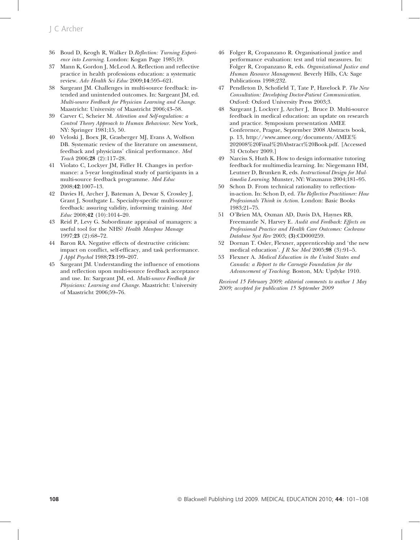- 36 Boud D, Keogh R, Walker D.Reflection: Turning Experience into Learning. London: Kogan Page 1985;19.
- 37 Mann K, Gordon J, McLeod A. Reflection and reflective practice in health professions education: a systematic review. Adv Health Sci Educ 2009;14:595-621.
- 38 Sargeant JM. Challenges in multi-source feedback: intended and unintended outcomes. In: Sargeant JM, ed. Multi-source Feedback for Physician Learning and Change. Maastricht: University of Maastricht 2006;43–58.
- 39 Carver C, Scheier M. Attention and Self-regulation: a Control Theory Approach to Human Behaviour. New York, NY: Springer 1981;15, 50.
- 40 Veloski J, Boex JR, Grasberger MJ, Evans A, Wolfson DB. Systematic review of the literature on assessment, feedback and physicians' clinical performance. Med Teach 2006;28 (2):117–28.
- 41 Violato C, Lockyer JM, Fidler H. Changes in performance: a 5-year longitudinal study of participants in a multi-source feedback programme. Med Educ 2008;42:1007–13.
- 42 Davies H, Archer J, Bateman A, Dewar S, Crossley J, Grant J, Southgate L. Specialty-specific multi-source feedback: assuring validity, informing training. Med Educ 2008;42 (10):1014–20.
- 43 Reid P, Levy G. Subordinate appraisal of managers: a useful tool for the NHS? Health Manpow Manage 1997;23 (2):68–72.
- 44 Baron RA. Negative effects of destructive criticism: impact on conflict, self-efficacy, and task performance. J Appl Psychol 1988;73:199–207.
- 45 Sargeant JM. Understanding the influence of emotions and reflection upon multi-source feedback acceptance and use. In: Sargeant JM, ed. Multi-source Feedback for Physicians: Learning and Change. Maastricht: University of Maastricht 2006;59–76.
- 46 Folger R, Cropanzano R. Organisational justice and performance evaluation: test and trial measures. In: Folger R, Cropanzano R, eds. Organizational Justice and Human Resource Management. Beverly Hills, CA: Sage Publications 1998;232.
- 47 Pendleton D, Schofield T, Tate P, Havelock P. The New Consultation: Developing Doctor-Patient Communication. Oxford: Oxford University Press 2003;3.
- 48 Sargeant J, Lockyer J, Archer J, Bruce D. Multi-source feedback in medical education: an update on research and practice. Symposium presentation AMEE Conference, Prague, September 2008 Abstracts book, p. 13, http://www.amee.org/documents/AMEE% 202008%20Final%20Abstract%20Book.pdf. [Accessed 31 October 2009.]
- 49 Narciss S, Huth K. How to design informative tutoring feedback for multimedia learning. In: Niegemann HM, Leutner D, Brunken R, eds. Instructional Design for Multimedia Learning. Munster, NY: Waxmann 2004;181–95.
- 50 Schon D. From technical rationality to reflectionin-action. In: Schon D, ed. The Reflective Practitioner: How Professionals Think in Action. London: Basic Books 1983;21–75.
- 51 O'Brien MA, Oxman AD, Davis DA, Haynes RB, Freemantle N, Harvey E. Audit and Feedback: Effects on Professional Practice and Health Care Outcomes: Cochrane Database Syst Rev 2003; (3):CD000259.
- 52 Dornan T. Osler, Flexner, apprenticeship and 'the new medical education'. *J R Soc Med*  $2005;98$  (3):91-5.
- 53 Flexner A. Medical Education in the United States and Canada: a Report to the Carnegie Foundation for the Advancement of Teaching. Boston, MA: Updyke 1910.

Received 15 February 2009; editorial comments to author 1 May 2009; accepted for publication 15 September 2009